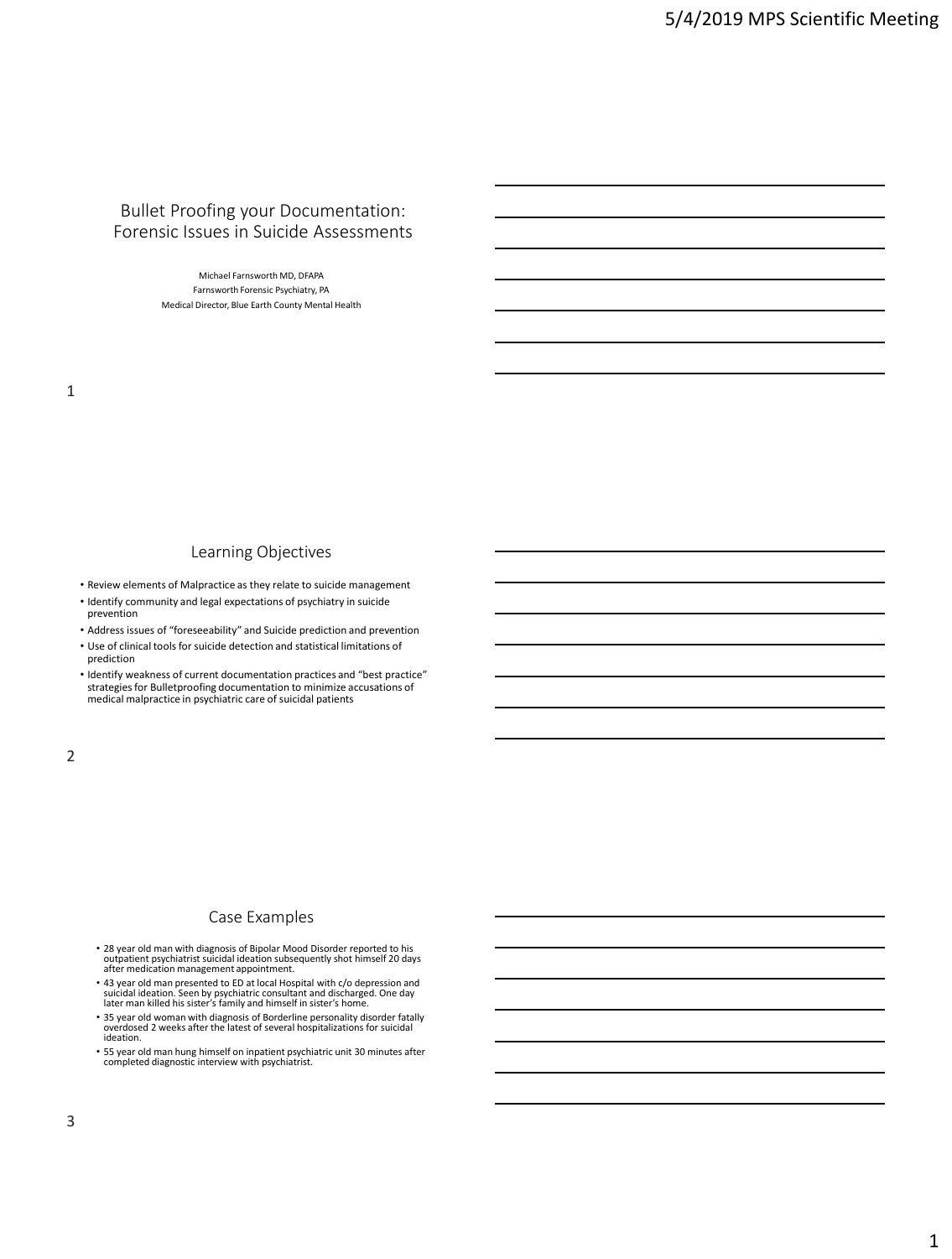### Bullet Proofing your Documentation: Forensic Issues in Suicide Assessments

Michael Farnsworth MD, DFAPA Farnsworth Forensic Psychiatry, PA Medical Director, Blue Earth County Mental Health

#### Learning Objectives

- Review elements of Malpractice as they relate to suicide management
- Identify community and legal expectations of psychiatry in suicide prevention
- Address issues of "foreseeability" and Suicide prediction and prevention
- Use of clinical tools for suicide detection and statistical limitations of prediction
- Identify weakness of current documentation practices and "best practice" strategies for Bulletproofing documentation to minimize accusations of medical malpractice in psychiatric care of suicidal patients

2

#### Case Examples

- 28 year old man with diagnosis of Bipolar Mood Disorder reported to his outpatient psychiatrist suicidal ideation subsequently shot himself 20 days after medication management appointment.
- 43 year old man presented to ED at local Hospital with c/o depression and suicidal ideation. Seen by psychiatric consultant and discharged. One day later man killed his sister's family and himself in sister's home.
- 35 year old woman with diagnosis of Borderline personality disorder fatally overdosed 2 weeks after the latest of several hospitalizations for suicidal ideation.
- 55 year old man hung himself on inpatient psychiatric unit 30 minutes after completed diagnostic interview with psychiatrist.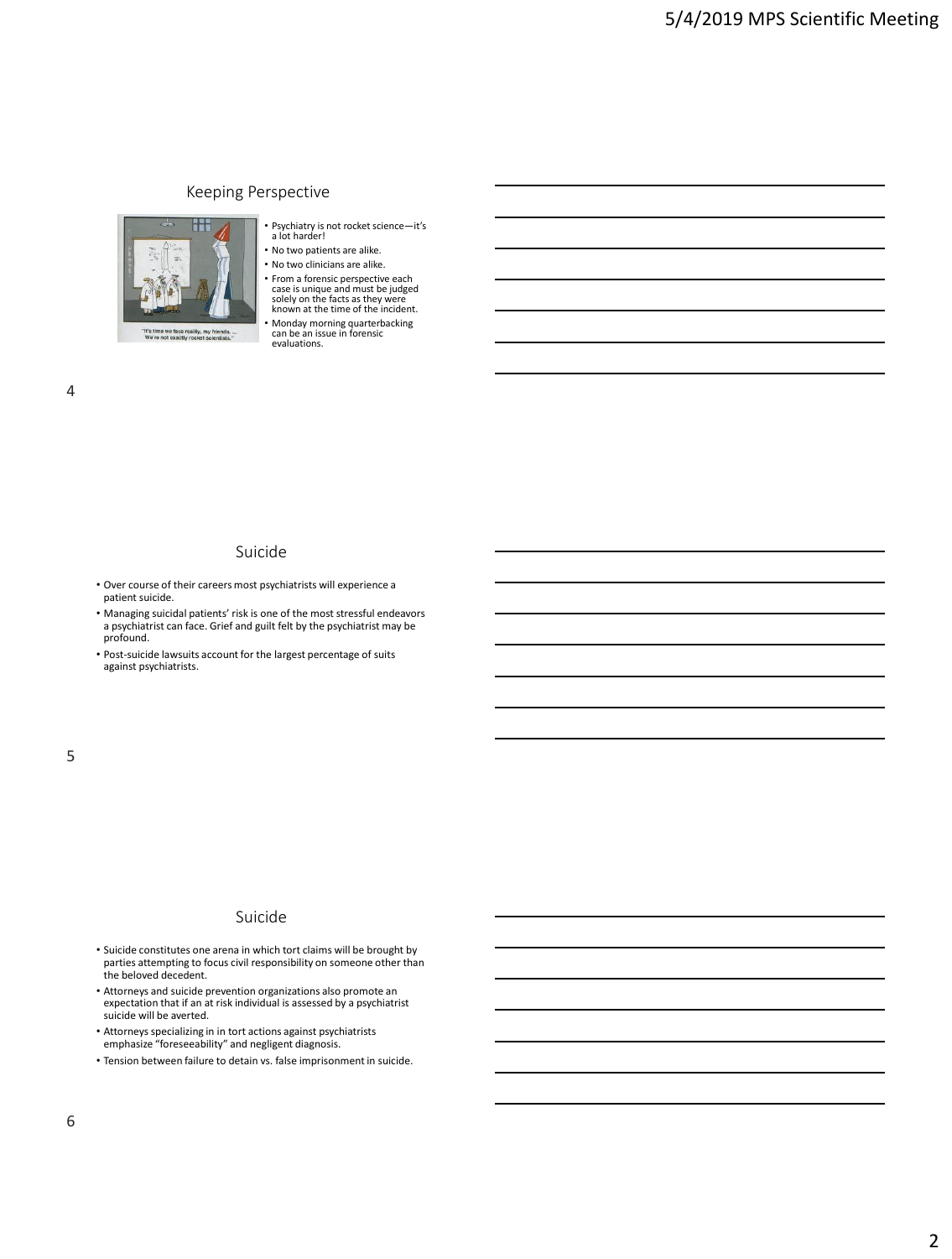## Keeping Perspective



- Psychiatry is not rocket science—it's a lot harder!
- No two patients are alike.
- No two clinicians are alike.
- From a forensic perspective each case is unique and must be judged solely on the facts as they were known at the time of the incident.

• Monday morning quarterbacking can be an issue in forensic evaluations.

### Suicide

- Over course of their careers most psychiatrists will experience a patient suicide.
- Managing suicidal patients' risk is one of the most stressful endeavors a psychiatrist can face. Grief and guilt felt by the psychiatrist may be profound.
- Post-suicide lawsuits account for the largest percentage of suits against psychiatrists.

### Suicide

- Suicide constitutes one arena in which tort claims will be brought by parties attempting to focus civil responsibility on someone other than the beloved decedent.
- Attorneys and suicide prevention organizations also promote an expectation that if an at risk individual is assessed by a psychiatrist suicide will be averted.
- Attorneys specializing in in tort actions against psychiatrists emphasize "foreseeability" and negligent diagnosis.
- Tension between failure to detain vs. false imprisonment in suicide.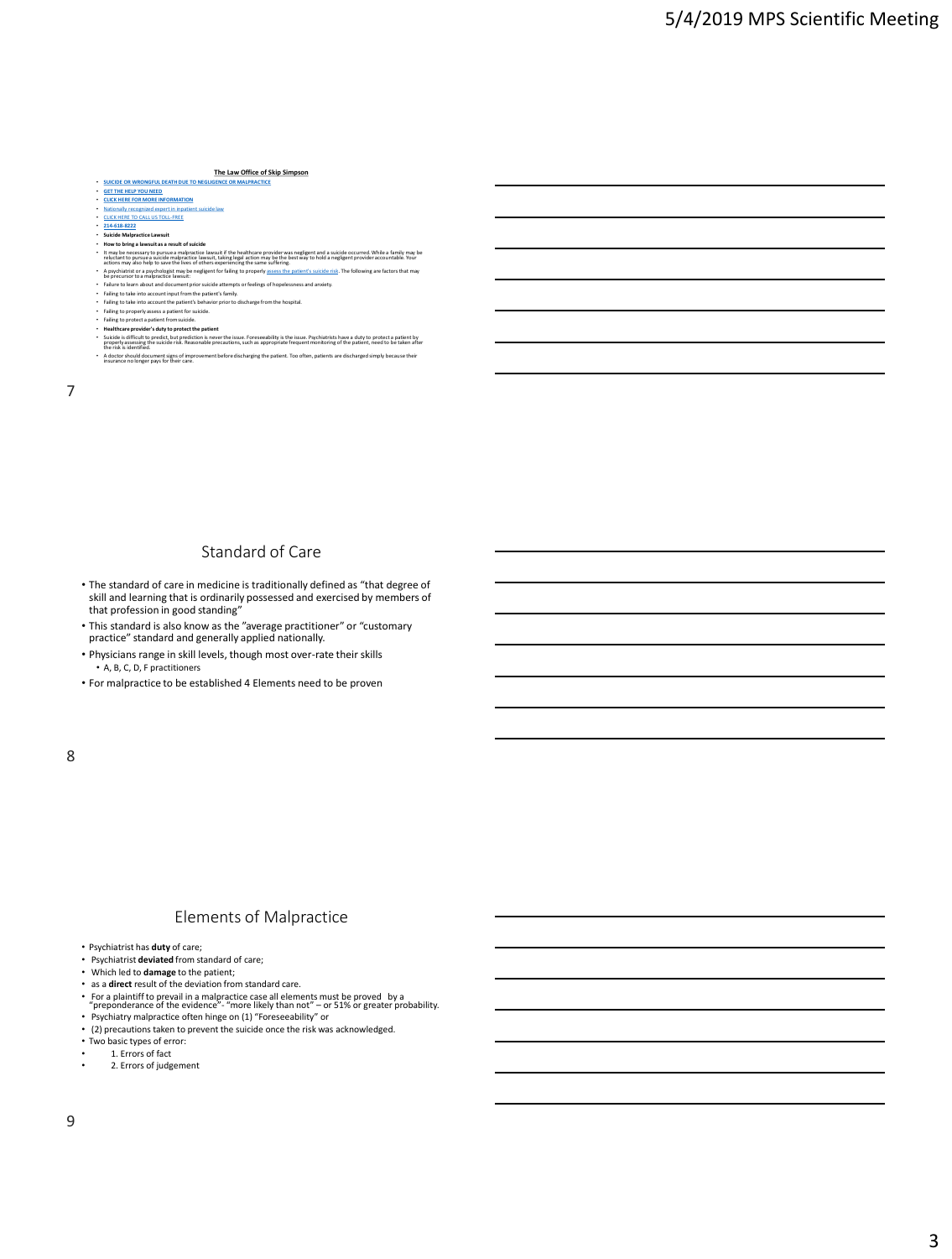#### **The Law Office of Skip Simpson**

#### **SUICIDE OR WRONGFUL DEATH DUE TO NEGLI**

- **[GET THE HELP YOU NEED](https://www.skipsimpson.com/evaluation) [CLICK HERE FOR MORE INFORMATION](https://www.skipsimpson.com/evaluation)**
- 

- 
- **[Nationally recognized expert in inpatient suicide law](https://www.skipsimpson.com/evaluation)**<br>• <u>[CLICK HERE TO CALL US TOLL-FREE](tel:214-618-8222)</u><br>• **[214-618-8222](tel:214-618-8222)**<br>• **Suicide Malpractice Lawsuit<br>• How to bring a lawsuit as a result of suicide**
- lt may be necessary to pursue a malpractice lawsuit if the healthcare provider was negligent and a suicide occurred. While a family may be reluctant to pursue a suicide malpractice lawsuit, taking legal action may be the b
- actions may also heap to a swell to the line of others experiencing the same sulffering.<br>• A psychiatrist or a psychologist may be negligent for falling to properly <u>assess the patient's suicide risk</u>. The following are fa
- 
- 
- 
- 
- 
- Suicide is difficult to predict, but prediction is never the issue. Foreseeability is the issue. Psychiatrists have a duty to protect a patient by properly assessing the suicide risk. Reasonable precautions, such as approp
- the risk is identified. A doctor should document signs of improvement before discharging the patient. Too often, patients are discharged simply because their insurance no longer pays for their care.

7

### Standard of Care

- The standard of care in medicine is traditionally defined as "that degree of skill and learning that is ordinarily possessed and exercised by members of that profession in good standing"
- This standard is also know as the "average practitioner" or "customary practice" standard and generally applied nationally.
- Physicians range in skill levels, though most over-rate their skills • A, B, C, D, F practitioners
- For malpractice to be established 4 Elements need to be proven

#### 8

### Elements of Malpractice

- Psychiatrist has **duty** of care;
- Psychiatrist **deviated** from standard of care;
- Which led to **damage** to the patient;
- as a **direct** result of the deviation from standard care.
- 
- For a plaintiff to prevail in a malpractice case all elements must be proved by a<br> "preponderance of the evidence"- "more likely than not" or 51% or greater probability.<br>• Psychiatry malpractice often hinge on (1)
- (2) precautions taken to prevent the suicide once the risk was acknowledged.
- Two basic types of error:
- $\cdot$  1. Errors of fact
- 2. Errors of judgement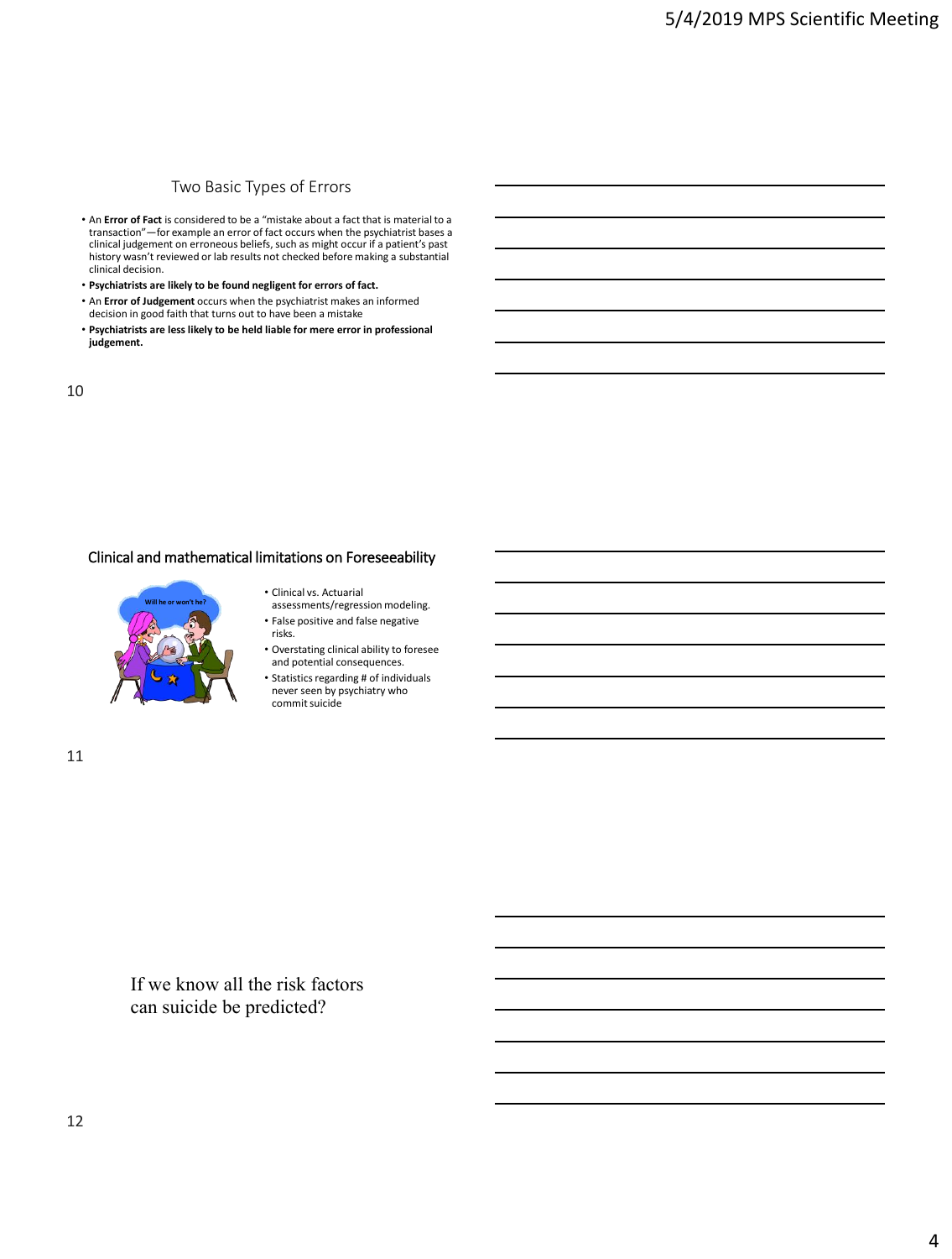# Two Basic Types of Errors

- An **Error of Fact** is considered to be a "mistake about a fact that is material to a<br>transaction"—for example an error of fact occurs when the psychiatrist bases a<br>clinical judgement on erroneous beliefs, such as might o history wasn't reviewed or lab results not checked before making a substantial clinical decision.
- **Psychiatrists are likely to be found negligent for errors of fact.**
- An **Error of Judgement** occurs when the psychiatrist makes an informed decision in good faith that turns out to have been a mistake
- **Psychiatrists are less likely to be held liable for mere error in professional judgement.**

10

### Clinical and mathematical limitations on Foreseeability



- Clinical vs. Actuarial assessments/regression modeling.
- False positive and false negative risks.
- Overstating clinical ability to foresee and potential consequences.
- Statistics regarding # of individuals never seen by psychiatry who commit suicide

11

If we know all the risk factors can suicide be predicted?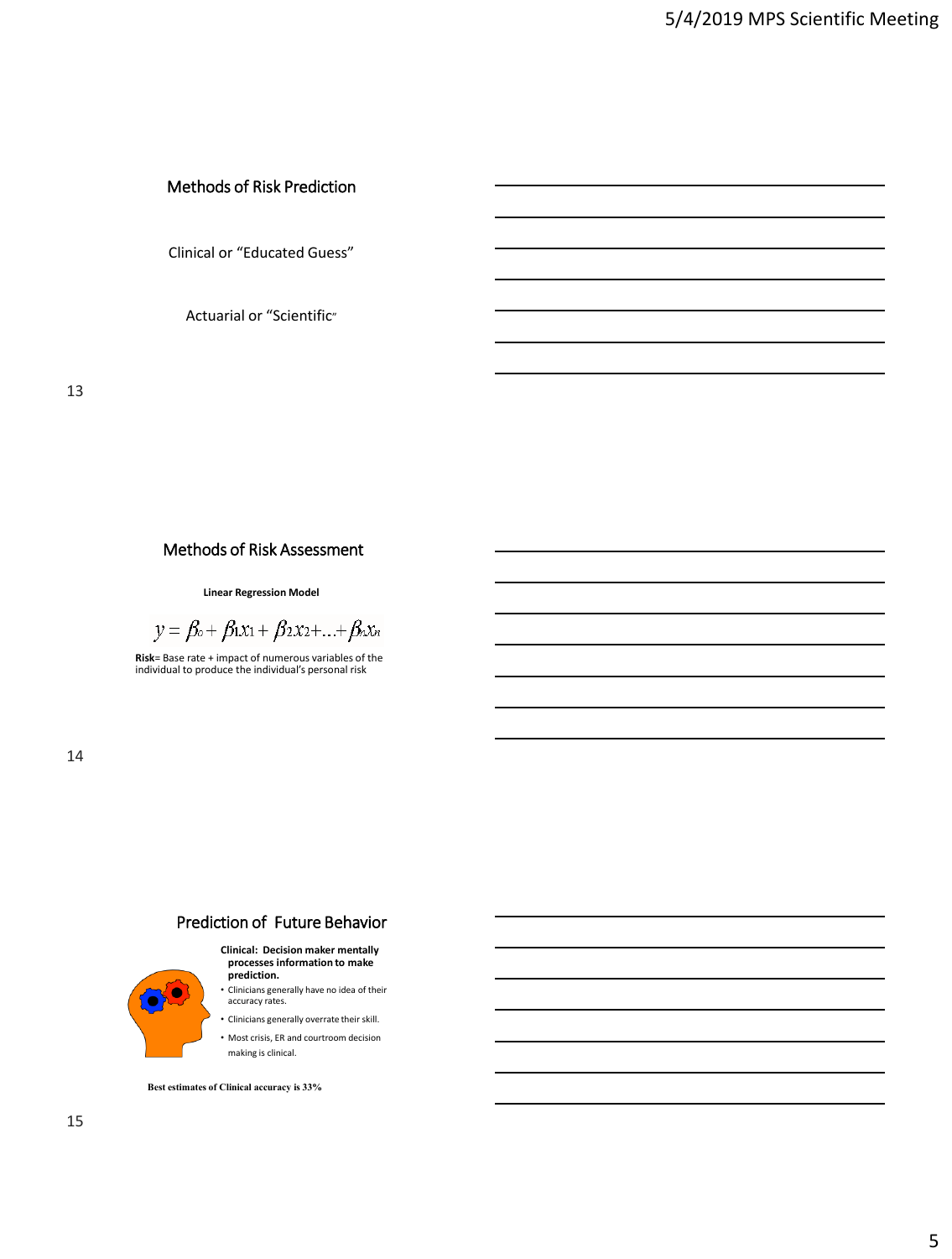# Methods of Risk Prediction

Clinical or "Educated Guess"

Actuarial or "Scientific"

# Methods of Risk Assessment

**Linear Regression Model**

$$
y = \beta_0 + \beta_1 x_1 + \beta_2 x_2 + \ldots + \beta_n x_n
$$

**Risk**= Base rate + impact of numerous variables of the individual to produce the individual's personal risk

14

# Prediction of Future Behavior

#### **Clinical: Decision maker mentally processes information to make prediction.**

• Clinicians generally have no idea of their accuracy rates.

• Clinicians generally overrate their skill. • Most crisis, ER and courtroom decision

making is clinical.

**Best estimates of Clinical accuracy is 33%**

 $\bullet$ Ō.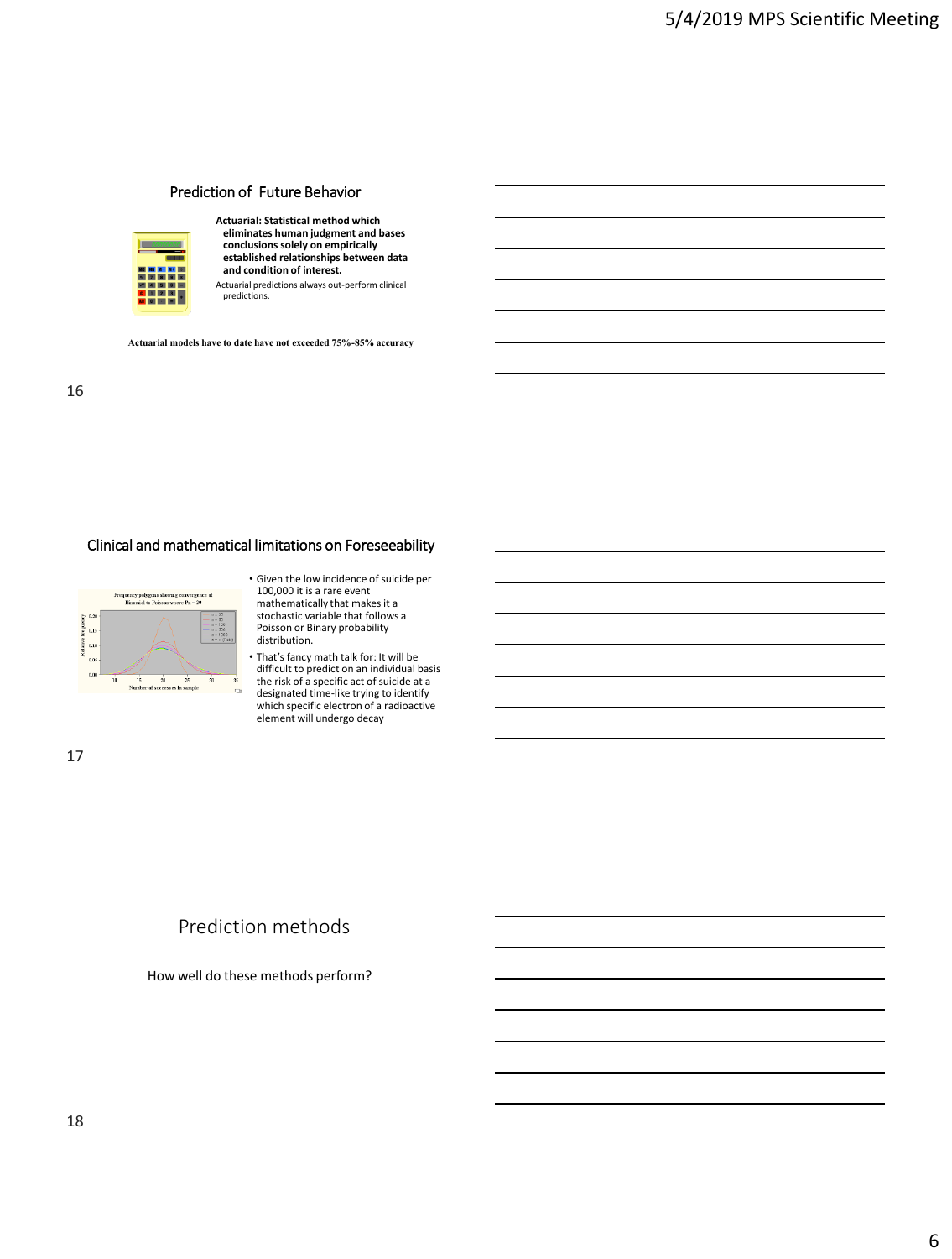## Prediction of Future Behavior



**Actuarial: Statistical method which eliminates human judgment and bases conclusions solely on empirically established relationships between data and condition of interest.**

Actuarial predictions always out-perform clinical predictions.

**Actuarial models have to date have not exceeded 75%-85% accuracy**

## Clinical and mathematical limitations on Foreseeability



- Given the low incidence of suicide per 100,000 it is a rare event mathematically that makes it a stochastic variable that follows a Poisson or Binary probability distribution.
- That's fancy math talk for: It will be difficult to predict on an individual basis the risk of a specific act of suicide at a designated time-like trying to identify which specific electron of a radioactive element will undergo decay

17

# Prediction methods

How well do these methods perform?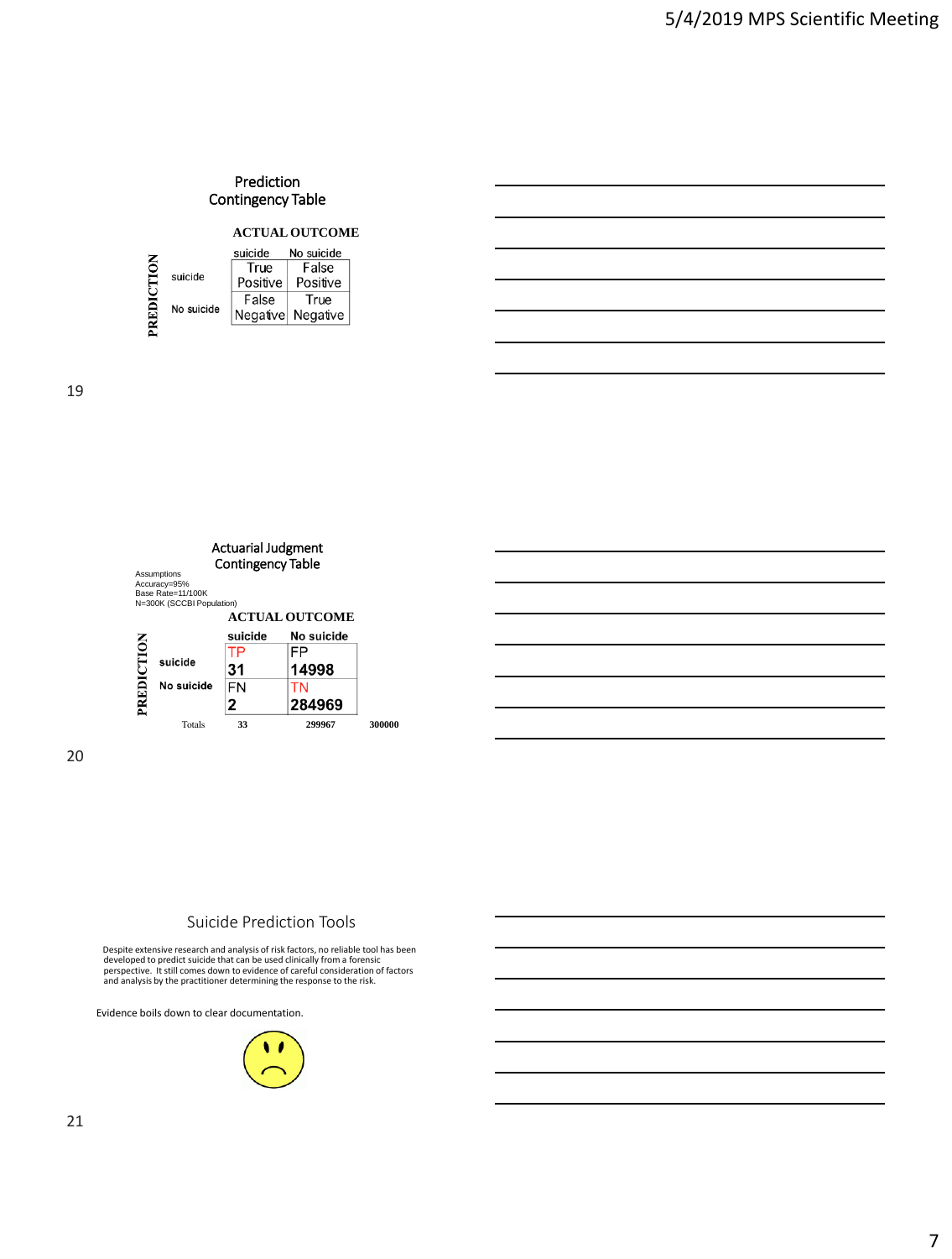### Prediction Contingency Table

#### **ACTUAL OUTCOME**

|      |            | suicide  | No suicide |
|------|------------|----------|------------|
| TION |            | True     | False      |
| ĚDI  | suicide    | Positive | Positive   |
|      |            | False    | True       |
|      | No suicide | Negative | Negative   |
|      |            |          |            |

19





### Suicide Prediction Tools

Despite extensive research and analysis of risk factors, no reliable tool has been developed to predict suicide that can be used clinically from a forensic<br>perspective. It still comes down to evidence of careful consideration of factors<br>and analysis by the practitioner determining the response to the ris

Evidence boils down to clear documentation.

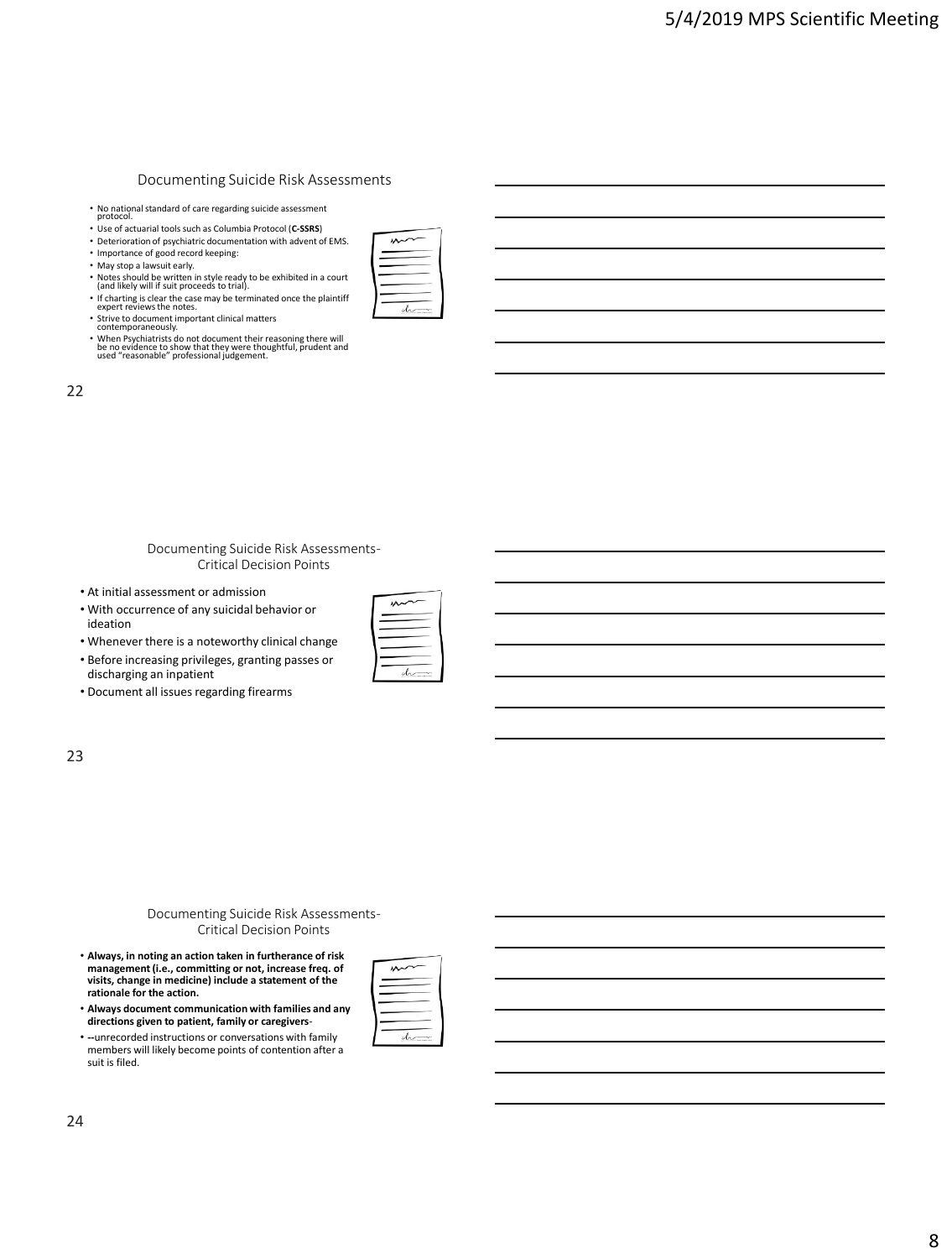#### Documenting Suicide Risk Assessments

• No national standard of care regarding suicide assessment protocol.

- Use of actuarial tools such as Columbia Protocol (**C-SSRS**)
- Deterioration of psychiatric documentation with advent of EMS. • Importance of good record keeping:
- 
- 

 $\sim$ 

- 
- May stop a lawsuit early. Notes should be written in style ready to be exhibited in a court (and likely will if suit proceeds to trial). • If charting is clear the case may be terminated once the plaintiff expert reviews the notes.
- Strive to document important clinical matters contemporaneously.
- 
- When Psychiatrists do not document their reasoning there will be no evidence to show that they were thoughtful, prudent and used "reasonable" professional judgement.

| v<br>۰. | ٧<br>۰. |
|---------|---------|
| ۰.      |         |
|         |         |

#### Documenting Suicide Risk Assessments-Critical Decision Points

- At initial assessment or admission
- With occurrence of any suicidal behavior or ideation

| . Whenever there is a noteworthy clinical change |  |
|--------------------------------------------------|--|
|--------------------------------------------------|--|

- Before increasing privileges, granting passes or discharging an inpatient
- Document all issues regarding firearms

#### 23

#### Documenting Suicide Risk Assessments-Critical Decision Points

- **Always, in noting an action taken in furtherance of risk management (i.e., committing or not, increase freq. of visits, change in medicine) include a statement of the rationale for the action.**
- **Always document communication with families and any directions given to patient, family or caregivers**-
- **--**unrecorded instructions or conversations with family members will likely become points of contention after a suit is filed.

|  | $\mathbf{X}$ |  |  |
|--|--------------|--|--|
|  |              |  |  |
|  |              |  |  |
|  |              |  |  |